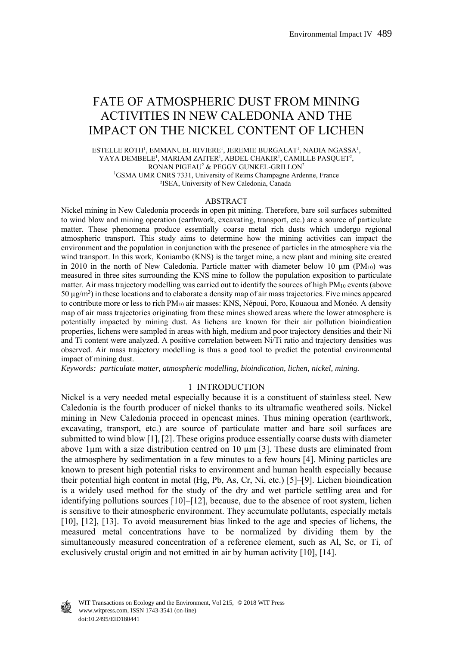# FATE OF ATMOSPHERIC DUST FROM MINING ACTIVITIES IN NEW CALEDONIA AND THE IMPACT ON THE NICKEL CONTENT OF LICHEN

 $\texttt{ESTELLE}$ ROTH', EMMANUEL RIVIERE', JEREMIE BURGALAT', NADIA NGASSA', YAYA DEMBELE<sup>1</sup>, MARIAM ZAITER<sup>1</sup>, ABDEL CHAKIR<sup>1</sup>, CAMILLE PASQUET<sup>2</sup>, RONAN PIGEAU<sup>2</sup> & PEGGY GUNKEL-GRILLON<sup>2</sup> <sup>1</sup>GSMA UMR CNRS 7331, University of Reims Champagne Ardenne, France ²ISEA, University of New Caledonia, Canada

#### ABSTRACT

Nickel mining in New Caledonia proceeds in open pit mining. Therefore, bare soil surfaces submitted to wind blow and mining operation (earthwork, excavating, transport, etc.) are a source of particulate matter. These phenomena produce essentially coarse metal rich dusts which undergo regional atmospheric transport. This study aims to determine how the mining activities can impact the environment and the population in conjunction with the presence of particles in the atmosphere via the wind transport. In this work, Koniambo (KNS) is the target mine, a new plant and mining site created in 2010 in the north of New Caledonia. Particle matter with diameter below 10  $\mu$ m (PM<sub>10</sub>) was measured in three sites surrounding the KNS mine to follow the population exposition to particulate matter. Air mass trajectory modelling was carried out to identify the sources of high PM<sub>10</sub> events (above 50 µg/m3) in these locations and to elaborate a density map of air mass trajectories. Five mines appeared to contribute more or less to rich PM<sub>10</sub> air masses: KNS, Népoui, Poro, Kouaoua and Monéo. A density map of air mass trajectories originating from these mines showed areas where the lower atmosphere is potentially impacted by mining dust. As lichens are known for their air pollution bioindication properties, lichens were sampled in areas with high, medium and poor trajectory densities and their Ni and Ti content were analyzed. A positive correlation between Ni/Ti ratio and trajectory densities was observed. Air mass trajectory modelling is thus a good tool to predict the potential environmental impact of mining dust.

*Keywords: particulate matter, atmospheric modelling, bioindication, lichen, nickel, mining.* 

### 1 INTRODUCTION

Nickel is a very needed metal especially because it is a constituent of stainless steel. New Caledonia is the fourth producer of nickel thanks to its ultramafic weathered soils. Nickel mining in New Caledonia proceed in opencast mines. Thus mining operation (earthwork, excavating, transport, etc.) are source of particulate matter and bare soil surfaces are submitted to wind blow [1], [2]. These origins produce essentially coarse dusts with diameter above 1 $\mu$ m with a size distribution centred on 10  $\mu$ m [3]. These dusts are eliminated from the atmosphere by sedimentation in a few minutes to a few hours [4]. Mining particles are known to present high potential risks to environment and human health especially because their potential high content in metal (Hg, Pb, As, Cr, Ni, etc.) [5]–[9]. Lichen bioindication is a widely used method for the study of the dry and wet particle settling area and for identifying pollutions sources [10]–[12], because, due to the absence of root system, lichen is sensitive to their atmospheric environment. They accumulate pollutants, especially metals [10], [12], [13]. To avoid measurement bias linked to the age and species of lichens, the measured metal concentrations have to be normalized by dividing them by the simultaneously measured concentration of a reference element, such as Al, Sc, or Ti, of exclusively crustal origin and not emitted in air by human activity [10], [14].



 www.witpress.com, ISSN 1743-3541 (on-line) WIT Transactions on Ecology and the Environment, Vol 215, © 2018 WIT Press doi:10.2495/EID180441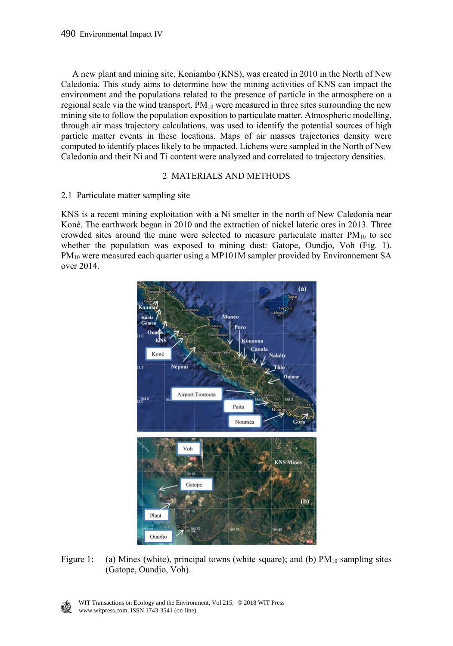A new plant and mining site, Koniambo (KNS), was created in 2010 in the North of New Caledonia. This study aims to determine how the mining activities of KNS can impact the environment and the populations related to the presence of particle in the atmosphere on a regional scale via the wind transport.  $PM_{10}$  were measured in three sites surrounding the new mining site to follow the population exposition to particulate matter. Atmospheric modelling, through air mass trajectory calculations, was used to identify the potential sources of high particle matter events in these locations. Maps of air masses trajectories density were computed to identify places likely to be impacted. Lichens were sampled in the North of New Caledonia and their Ni and Ti content were analyzed and correlated to trajectory densities.

# 2 MATERIALS AND METHODS

## 2.1 Particulate matter sampling site

KNS is a recent mining exploitation with a Ni smelter in the north of New Caledonia near Koné. The earthwork began in 2010 and the extraction of nickel lateric ores in 2013. Three crowded sites around the mine were selected to measure particulate matter  $PM_{10}$  to see whether the population was exposed to mining dust: Gatope, Oundjo, Voh (Fig. 1). PM10 were measured each quarter using a MP101M sampler provided by Environnement SA over 2014.



Figure 1: (a) Mines (white), principal towns (white square); and (b)  $PM_{10}$  sampling sites (Gatope, Oundjo, Voh).

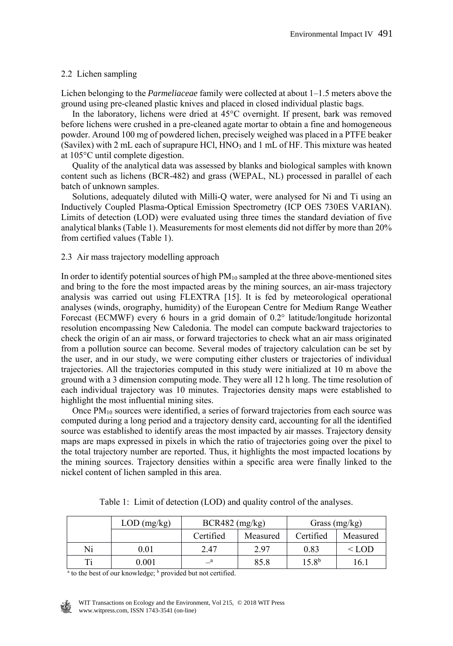## 2.2 Lichen sampling

Lichen belonging to the *Parmeliaceae* family were collected at about 1–1.5 meters above the ground using pre-cleaned plastic knives and placed in closed individual plastic bags.

 In the laboratory, lichens were dried at 45°C overnight. If present, bark was removed before lichens were crushed in a pre-cleaned agate mortar to obtain a fine and homogeneous powder. Around 100 mg of powdered lichen, precisely weighed was placed in a PTFE beaker (Savilex) with 2 mL each of suprapure HCl, HNO3 and 1 mL of HF. This mixture was heated at 105°C until complete digestion.

 Quality of the analytical data was assessed by blanks and biological samples with known content such as lichens (BCR-482) and grass (WEPAL, NL) processed in parallel of each batch of unknown samples.

 Solutions, adequately diluted with Milli-Q water, were analysed for Ni and Ti using an Inductively Coupled Plasma-Optical Emission Spectrometry (ICP OES 730ES VARIAN). Limits of detection (LOD) were evaluated using three times the standard deviation of five analytical blanks (Table 1). Measurements for most elements did not differ by more than 20% from certified values (Table 1).

# 2.3 Air mass trajectory modelling approach

In order to identify potential sources of high  $PM_{10}$  sampled at the three above-mentioned sites and bring to the fore the most impacted areas by the mining sources, an air-mass trajectory analysis was carried out using FLEXTRA [15]. It is fed by meteorological operational analyses (winds, orography, humidity) of the European Centre for Medium Range Weather Forecast (ECMWF) every 6 hours in a grid domain of 0.2° latitude/longitude horizontal resolution encompassing New Caledonia. The model can compute backward trajectories to check the origin of an air mass, or forward trajectories to check what an air mass originated from a pollution source can become. Several modes of trajectory calculation can be set by the user, and in our study, we were computing either clusters or trajectories of individual trajectories. All the trajectories computed in this study were initialized at 10 m above the ground with a 3 dimension computing mode. They were all 12 h long. The time resolution of each individual trajectory was 10 minutes. Trajectories density maps were established to highlight the most influential mining sites.

Once  $PM_{10}$  sources were identified, a series of forward trajectories from each source was computed during a long period and a trajectory density card, accounting for all the identified source was established to identify areas the most impacted by air masses. Trajectory density maps are maps expressed in pixels in which the ratio of trajectories going over the pixel to the total trajectory number are reported. Thus, it highlights the most impacted locations by the mining sources. Trajectory densities within a specific area were finally linked to the nickel content of lichen sampled in this area.

|                                                                                     | $LOD$ (mg/kg) | $BCR482$ (mg/kg) |          | Grass $(mg/kg)$   |          |  |  |  |
|-------------------------------------------------------------------------------------|---------------|------------------|----------|-------------------|----------|--|--|--|
|                                                                                     |               | Certified        | Measured | Certified         | Measured |  |  |  |
| Ni                                                                                  | 0.01          | 2.47             | 2.97     | 0.83              | $<$ LOD  |  |  |  |
| Ti                                                                                  | 0.001         |                  | 85.8     | 15.8 <sup>b</sup> | 16.1     |  |  |  |
| <sup>a</sup> to the best of our knowledge; <sup>b</sup> provided but not certified. |               |                  |          |                   |          |  |  |  |

Table 1: Limit of detection (LOD) and quality control of the analyses.

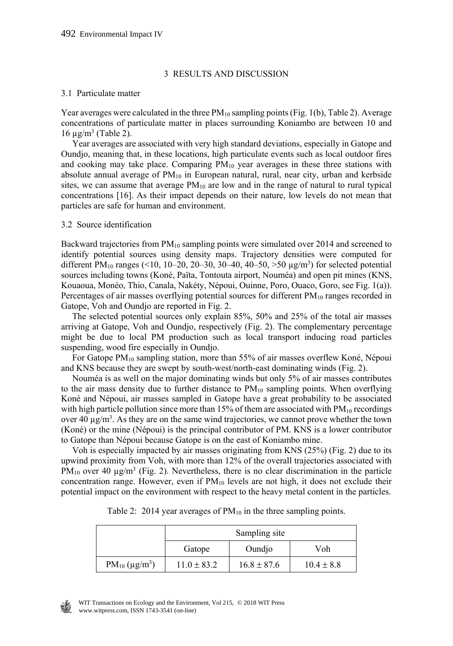## 3 RESULTS AND DISCUSSION

### 3.1 Particulate matter

Year averages were calculated in the three  $PM_{10}$  sampling points (Fig. 1(b), Table 2). Average concentrations of particulate matter in places surrounding Koniambo are between 10 and  $16 \mu g/m^3$  (Table 2).

 Year averages are associated with very high standard deviations, especially in Gatope and Oundjo, meaning that, in these locations, high particulate events such as local outdoor fires and cooking may take place. Comparing  $PM_{10}$  year averages in these three stations with absolute annual average of  $PM_{10}$  in European natural, rural, near city, urban and kerbside sites, we can assume that average  $PM_{10}$  are low and in the range of natural to rural typical concentrations [16]. As their impact depends on their nature, low levels do not mean that particles are safe for human and environment.

#### 3.2 Source identification

Backward trajectories from PM10 sampling points were simulated over 2014 and screened to identify potential sources using density maps. Trajectory densities were computed for different PM<sub>10</sub> ranges (<10, 10-20, 20-30, 30-40, 40-50, >50  $\mu$ g/m<sup>3</sup>) for selected potential sources including towns (Koné, Païta, Tontouta airport, Nouméa) and open pit mines (KNS, Kouaoua, Monéo, Thio, Canala, Nakéty, Népoui, Ouinne, Poro, Ouaco, Goro, see Fig. 1(a)). Percentages of air masses overflying potential sources for different PM<sub>10</sub> ranges recorded in Gatope, Voh and Oundjo are reported in Fig. 2.

 The selected potential sources only explain 85%, 50% and 25% of the total air masses arriving at Gatope, Voh and Oundjo, respectively (Fig. 2). The complementary percentage might be due to local PM production such as local transport inducing road particles suspending, wood fire especially in Oundjo.

For Gatope PM<sub>10</sub> sampling station, more than 55% of air masses overflew Koné, Népoui and KNS because they are swept by south-west/north-east dominating winds (Fig. 2).

 Nouméa is as well on the major dominating winds but only 5% of air masses contributes to the air mass density due to further distance to  $PM_{10}$  sampling points. When overflying Koné and Népoui, air masses sampled in Gatope have a great probability to be associated with high particle pollution since more than 15% of them are associated with  $PM_{10}$  recordings over 40  $\mu$ g/m<sup>3</sup>. As they are on the same wind trajectories, we cannot prove whether the town (Koné) or the mine (Népoui) is the principal contributor of PM. KNS is a lower contributor to Gatope than Népoui because Gatope is on the east of Koniambo mine.

 Voh is especially impacted by air masses originating from KNS (25%) (Fig. 2) due to its upwind proximity from Voh, with more than 12% of the overall trajectories associated with PM<sub>10</sub> over 40  $\mu$ g/m<sup>3</sup> (Fig. 2). Nevertheless, there is no clear discrimination in the particle concentration range. However, even if  $PM_{10}$  levels are not high, it does not exclude their potential impact on the environment with respect to the heavy metal content in the particles.

|                                             | Sampling site   |                 |                |  |  |  |
|---------------------------------------------|-----------------|-----------------|----------------|--|--|--|
|                                             | Gatope          | Oundjo          | Voh            |  |  |  |
| PM <sub>10</sub> ( $\mu$ g/m <sup>3</sup> ) | $11.0 \pm 83.2$ | $16.8 \pm 87.6$ | $10.4 \pm 8.8$ |  |  |  |

Table 2: 2014 year averages of  $PM_{10}$  in the three sampling points.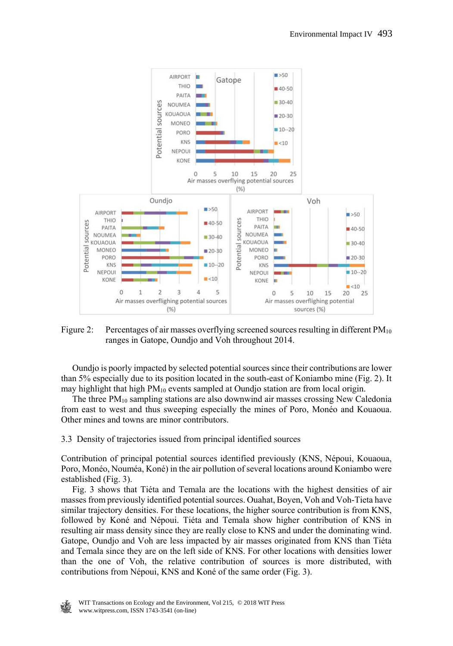

Figure 2: Percentages of air masses overflying screened sources resulting in different  $PM_{10}$ ranges in Gatope, Oundjo and Voh throughout 2014.

 Oundjo is poorly impacted by selected potential sources since their contributions are lower than 5% especially due to its position located in the south-east of Koniambo mine (Fig. 2). It may highlight that high PM10 events sampled at Oundjo station are from local origin.

The three  $PM_{10}$  sampling stations are also downwind air masses crossing New Caledonia from east to west and thus sweeping especially the mines of Poro, Monéo and Kouaoua. Other mines and towns are minor contributors.

3.3 Density of trajectories issued from principal identified sources

Contribution of principal potential sources identified previously (KNS, Népoui, Kouaoua, Poro, Monéo, Nouméa, Koné) in the air pollution of several locations around Koniambo were established (Fig. 3).

 Fig. 3 shows that Tiéta and Temala are the locations with the highest densities of air masses from previously identified potential sources. Ouahat, Boyen, Voh and Voh-Tieta have similar trajectory densities. For these locations, the higher source contribution is from KNS, followed by Koné and Népoui. Tiéta and Temala show higher contribution of KNS in resulting air mass density since they are really close to KNS and under the dominating wind. Gatope, Oundjo and Voh are less impacted by air masses originated from KNS than Tiéta and Temala since they are on the left side of KNS. For other locations with densities lower than the one of Voh, the relative contribution of sources is more distributed, with contributions from Népoui, KNS and Koné of the same order (Fig. 3).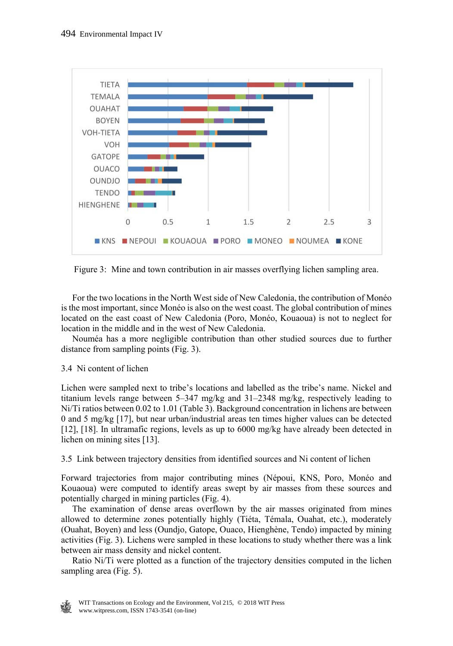

Figure 3: Mine and town contribution in air masses overflying lichen sampling area.

 For the two locations in the North West side of New Caledonia, the contribution of Monéo is the most important, since Monéo is also on the west coast. The global contribution of mines located on the east coast of New Caledonia (Poro, Monéo, Kouaoua) is not to neglect for location in the middle and in the west of New Caledonia.

 Nouméa has a more negligible contribution than other studied sources due to further distance from sampling points (Fig. 3).

# 3.4 Ni content of lichen

Lichen were sampled next to tribe's locations and labelled as the tribe's name. Nickel and titanium levels range between 5–347 mg/kg and 31–2348 mg/kg, respectively leading to Ni/Ti ratios between 0.02 to 1.01 (Table 3). Background concentration in lichens are between 0 and 5 mg/kg [17], but near urban/industrial areas ten times higher values can be detected [12], [18]. In ultramafic regions, levels as up to 6000 mg/kg have already been detected in lichen on mining sites [13].

3.5 Link between trajectory densities from identified sources and Ni content of lichen

Forward trajectories from major contributing mines (Népoui, KNS, Poro, Monéo and Kouaoua) were computed to identify areas swept by air masses from these sources and potentially charged in mining particles (Fig. 4).

 The examination of dense areas overflown by the air masses originated from mines allowed to determine zones potentially highly (Tiéta, Témala, Ouahat, etc.), moderately (Ouahat, Boyen) and less (Oundjo, Gatope, Ouaco, Hienghène, Tendo) impacted by mining activities (Fig. 3). Lichens were sampled in these locations to study whether there was a link between air mass density and nickel content.

 Ratio Ni/Ti were plotted as a function of the trajectory densities computed in the lichen sampling area (Fig. 5).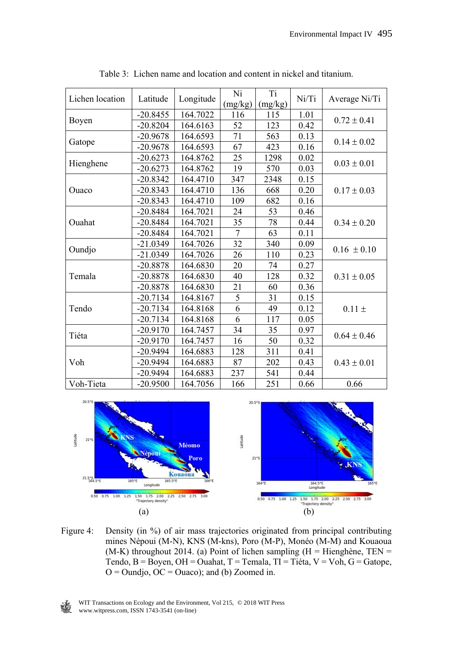|                 | Latitude   | Longitude | Ni              | Ti      | Ni/Ti | Average Ni/Ti   |  |
|-----------------|------------|-----------|-----------------|---------|-------|-----------------|--|
| Lichen location |            |           | (mg/kg)         | (mg/kg) |       |                 |  |
|                 | $-20.8455$ | 164.7022  | 116             | 115     | 1.01  | $0.72 \pm 0.41$ |  |
| Boyen           | $-20.8204$ | 164.6163  | 52              | 123     | 0.42  |                 |  |
|                 | -20.9678   | 164.6593  | 71              | 563     | 0.13  | $0.14 \pm 0.02$ |  |
| Gatope          | $-20.9678$ | 164.6593  | 67              | 423     | 0.16  |                 |  |
|                 | $-20.6273$ | 164.8762  | 25              | 1298    | 0.02  |                 |  |
| Hienghene       | $-20.6273$ | 164.8762  | 19              | 570     | 0.03  | $0.03 \pm 0.01$ |  |
|                 | $-20.8342$ | 164.4710  | 347             | 2348    | 0.15  |                 |  |
| Ouaco           | $-20.8343$ | 164.4710  | 136             | 668     | 0.20  | $0.17 \pm 0.03$ |  |
|                 | $-20.8343$ | 164.4710  | 109             | 682     | 0.16  |                 |  |
|                 | $-20.8484$ | 164.7021  | 24              | 53      | 0.46  |                 |  |
| Ouahat          | $-20.8484$ | 164.7021  | 35              | 78      | 0.44  | $0.34 \pm 0.20$ |  |
|                 | $-20.8484$ | 164.7021  | 7               | 63      | 0.11  |                 |  |
|                 | $-21.0349$ | 164.7026  | $\overline{32}$ | 340     | 0.09  | $0.16 \pm 0.10$ |  |
| Oundjo          | $-21.0349$ | 164.7026  | 26              | 110     | 0.23  |                 |  |
|                 | $-20.8878$ | 164.6830  | 20              | 74      | 0.27  |                 |  |
| Temala          | $-20.8878$ | 164.6830  | 40              | 128     | 0.32  | $0.31 \pm 0.05$ |  |
|                 | $-20.8878$ | 164.6830  | 21              | 60      | 0.36  |                 |  |
|                 | $-20.7134$ | 164.8167  | 5               | 31      | 0.15  |                 |  |
| Tendo           | $-20.7134$ | 164.8168  | 6               | 49      | 0.12  | $0.11 \pm$      |  |
|                 | $-20.7134$ | 164.8168  | 6               | 117     | 0.05  |                 |  |
| Tiéta           | $-20.9170$ | 164.7457  | 34              | 35      | 0.97  | $0.64 \pm 0.46$ |  |
|                 | $-20.9170$ | 164.7457  | 16              | 50      | 0.32  |                 |  |
|                 | $-20.9494$ | 164.6883  | 128             | 311     | 0.41  |                 |  |
| Voh             | $-20.9494$ | 164.6883  | 87              | 202     | 0.43  | $0.43 \pm 0.01$ |  |
|                 | $-20.9494$ | 164.6883  | 237             | 541     | 0.44  |                 |  |
| Voh-Tieta       | $-20.9500$ | 164.7056  | 166             | 251     | 0.66  | 0.66            |  |

Table 3: Lichen name and location and content in nickel and titanium.



Figure 4: Density (in %) of air mass trajectories originated from principal contributing mines Népoui (M-N), KNS (M-kns), Poro (M-P), Monéo (M-M) and Kouaoua (M-K) throughout 2014. (a) Point of lichen sampling (H = Hienghène, TEN = Tendo,  $B = Boyen$ ,  $OH = Ouahat$ ,  $T = Temala$ ,  $TI = Tiéta$ ,  $V = Voh$ ,  $G = Gatope$ ,  $O =$ Oundjo,  $OC =$ Ouaco); and (b) Zoomed in.

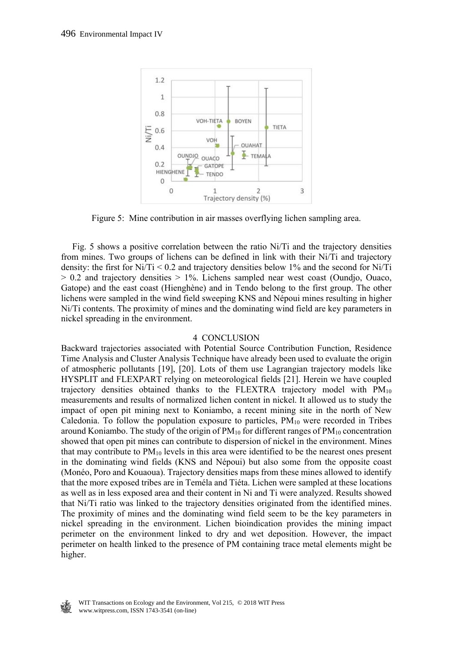

Figure 5: Mine contribution in air masses overflying lichen sampling area.

 Fig. 5 shows a positive correlation between the ratio Ni/Ti and the trajectory densities from mines. Two groups of lichens can be defined in link with their Ni/Ti and trajectory density: the first for Ni/Ti  $\leq$  0.2 and trajectory densities below 1% and the second for Ni/Ti  $> 0.2$  and trajectory densities  $> 1\%$ . Lichens sampled near west coast (Oundjo, Ouaco, Gatope) and the east coast (Hienghène) and in Tendo belong to the first group. The other lichens were sampled in the wind field sweeping KNS and Népoui mines resulting in higher Ni/Ti contents. The proximity of mines and the dominating wind field are key parameters in nickel spreading in the environment.

## 4 CONCLUSION

Backward trajectories associated with Potential Source Contribution Function, Residence Time Analysis and Cluster Analysis Technique have already been used to evaluate the origin of atmospheric pollutants [19], [20]. Lots of them use Lagrangian trajectory models like HYSPLIT and FLEXPART relying on meteorological fields [21]. Herein we have coupled trajectory densities obtained thanks to the FLEXTRA trajectory model with  $PM_{10}$ measurements and results of normalized lichen content in nickel. It allowed us to study the impact of open pit mining next to Koniambo, a recent mining site in the north of New Caledonia. To follow the population exposure to particles,  $PM_{10}$  were recorded in Tribes around Koniambo. The study of the origin of  $PM_{10}$  for different ranges of  $PM_{10}$  concentration showed that open pit mines can contribute to dispersion of nickel in the environment. Mines that may contribute to  $PM_{10}$  levels in this area were identified to be the nearest ones present in the dominating wind fields (KNS and Népoui) but also some from the opposite coast (Monéo, Poro and Kouaoua). Trajectory densities maps from these mines allowed to identify that the more exposed tribes are in Teméla and Tiéta. Lichen were sampled at these locations as well as in less exposed area and their content in Ni and Ti were analyzed. Results showed that Ni/Ti ratio was linked to the trajectory densities originated from the identified mines. The proximity of mines and the dominating wind field seem to be the key parameters in nickel spreading in the environment. Lichen bioindication provides the mining impact perimeter on the environment linked to dry and wet deposition. However, the impact perimeter on health linked to the presence of PM containing trace metal elements might be higher.

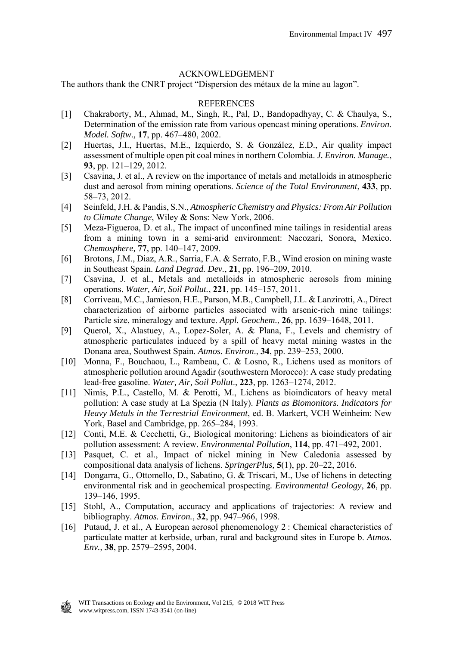## ACKNOWLEDGEMENT

The authors thank the CNRT project "Dispersion des métaux de la mine au lagon".

## REFERENCES

- [1] Chakraborty, M., Ahmad, M., Singh, R., Pal, D., Bandopadhyay, C. & Chaulya, S., Determination of the emission rate from various opencast mining operations. *Environ. Model. Softw.,* **17**, pp. 467–480, 2002.
- [2] Huertas, J.I., Huertas, M.E., Izquierdo, S. & González, E.D., Air quality impact assessment of multiple open pit coal mines in northern Colombia. *J. Environ. Manage.*, **93**, pp. 121–129, 2012.
- [3] Csavina, J. et al., A review on the importance of metals and metalloids in atmospheric dust and aerosol from mining operations. *Science of the Total Environment*, **433**, pp. 58–73, 2012.
- [4] Seinfeld, J.H. & Pandis, S.N., *Atmospheric Chemistry and Physics: From Air Pollution to Climate Change*, Wiley & Sons: New York, 2006.
- [5] Meza-Figueroa, D. et al., The impact of unconfined mine tailings in residential areas from a mining town in a semi-arid environment: Nacozari, Sonora, Mexico. *Chemosphere,* **77**, pp. 140–147, 2009.
- [6] Brotons, J.M., Diaz, A.R., Sarria, F.A. & Serrato, F.B., Wind erosion on mining waste in Southeast Spain. *Land Degrad. Dev.*, **21**, pp. 196–209, 2010.
- [7] Csavina, J. et al., Metals and metalloids in atmospheric aerosols from mining operations. *Water, Air, Soil Pollut.*, **221**, pp. 145–157, 2011.
- [8] Corriveau, M.C., Jamieson, H.E., Parson, M.B., Campbell, J.L. & Lanzirotti, A., Direct characterization of airborne particles associated with arsenic-rich mine tailings: Particle size, mineralogy and texture. *Appl. Geochem.*, **26**, pp. 1639–1648, 2011.
- [9] Querol, X., Alastuey, A., Lopez-Soler, A. & Plana, F., Levels and chemistry of atmospheric particulates induced by a spill of heavy metal mining wastes in the Donana area, Southwest Spain*. Atmos. Environ*., **34**, pp. 239–253, 2000.
- [10] Monna, F., Bouchaou, L., Rambeau, C. & Losno, R., Lichens used as monitors of atmospheric pollution around Agadir (southwestern Morocco): A case study predating lead-free gasoline. *Water, Air, Soil Pollut*., **223**, pp. 1263–1274, 2012.
- [11] Nimis, P.L., Castello, M. & Perotti, M., Lichens as bioindicators of heavy metal pollution: A case study at La Spezia (N Italy). *Plants as Biomonitors. Indicators for Heavy Metals in the Terrestrial Environment*, ed. B. Markert, VCH Weinheim: New York, Basel and Cambridge, pp. 265–284, 1993.
- [12] Conti, M.E. & Cecchetti, G., Biological monitoring: Lichens as bioindicators of air pollution assessment: A review. *Environmental Pollution*, **114**, pp. 471–492, 2001.
- [13] Pasquet, C. et al., Impact of nickel mining in New Caledonia assessed by compositional data analysis of lichens. *SpringerPlus,* **5**(1), pp. 20–22, 2016.
- [14] Dongarra, G., Ottomello, D., Sabatino, G. & Triscari, M., Use of lichens in detecting environmental risk and in geochemical prospecting*. Environmental Geology*, **26**, pp. 139–146, 1995.
- [15] Stohl, A., Computation, accuracy and applications of trajectories: A review and bibliography. *Atmos. Environ.*, **32**, pp. 947–966, 1998.
- [16] Putaud, J. et al., A European aerosol phenomenology 2 : Chemical characteristics of particulate matter at kerbside, urban, rural and background sites in Europe b. *Atmos. Env.*, **38**, pp. 2579–2595, 2004.